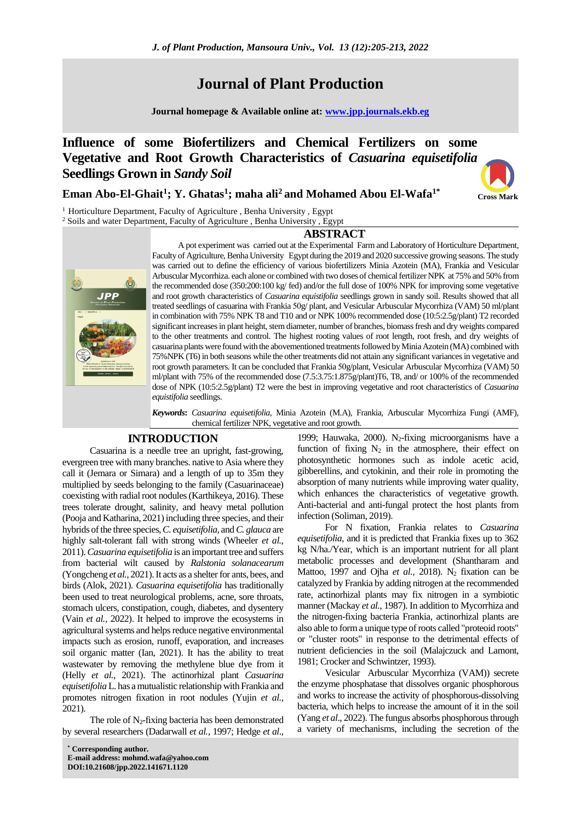# **Journal of Plant Production**

**Journal homepage & Available online at: [www.jpp.journals.ekb.eg](http://www.jpp.journals.ekb.eg/)**

# **Influence of some Biofertilizers and Chemical Fertilizers on some Vegetative and Root Growth Characteristics of** *Casuarina equisetifolia* **Seedlings Grown in** *Sandy Soil*

# **Eman Abo-El-Ghait<sup>1</sup> ; Y. Ghatas<sup>1</sup> ; maha ali<sup>2</sup> and Mohamed Abou El-Wafa1\***



<sup>1</sup> Horticulture Department, Faculty of Agriculture, Benha University, Egypt <sup>2</sup> Soils and water Department, Faculty of Agriculture, Benha University, Egypt

### **ABSTRACT**



A pot experiment was carried out at the Experimental Farm and Laboratory of Horticulture Department, Faculty of Agriculture, Benha University Egypt during the 2019 and 2020 successive growing seasons. The study was carried out to define the efficiency of various biofertilizers Minia Azotein (MA), Frankia and Vesicular Arbuscular Mycorrhiza. each alone or combined with two doses of chemical fertilizer NPK at 75% and 50% from the recommended dose (350:200:100 kg/ fed) and/or the full dose of 100% NPK for improving some vegetative and root growth characteristics of *Casuarina equistifolia* seedlings grown in sandy soil. Results showed that all treated seedlings of casuarina with Frankia 50g/ plant, and Vesicular Arbuscular Mycorrhiza (VAM) 50 ml/plant in combination with 75% NPK T8 and T10 and or NPK 100% recommended dose (10:5:2.5g/plant) T2 recorded significant increases in plant height, stem diameter, number of branches, biomass fresh and dry weights compared to the other treatments and control. The highest rooting values of root length, root fresh, and dry weights of casuarina plants were found with the abovementioned treatments followed by Minia Azotein (MA) combined with 75%NPK (T6) in both seasons while the other treatments did not attain any significant variances in vegetative and root growth parameters. It can be concluded that Frankia 50g/plant, Vesicular Arbuscular Mycorrhiza (VAM) 50 ml/plant with 75% of the recommended dose (7.5:3.75:1.875g/plant)T6, T8, and/ or 100% of the recommended dose of NPK (10:5:2.5g/plant) T2 were the best in improving vegetative and root characteristics of *Casuarina equistifolia* seedlings.

*Keywords***:** *Casuarina equisetifolia*, Minia Azotein (M.A), Frankia, Arbuscular Mycorrhiza Fungi (AMF), chemical fertilizer NPK, vegetative and root growth.

# **INTRODUCTION**

Casuarina is a needle tree an upright, fast-growing, evergreen tree with many branches. native to Asia where they call it (Jemara or Simara) and a length of up to 35m they multiplied by seeds belonging to the family (Casuarinaceae) coexisting with radial root nodules (Karthikeya, 2016). These trees tolerate drought, salinity, and heavy metal pollution (Pooja and Katharina, 2021) including three species, and their hybrids of the three species, *C. equisetifolia,* and*C. glauca* are highly salt-tolerant fall with strong winds [\(Wheeler](javascript:;) *et al.*, 2011). *Casuarina equisetifolia* is an important tree and suffers from bacterial wilt caused by *Ralstonia solanacearum* [\(Yongcheng](https://www.sciencedirect.com/science/article/pii/S0888754321001142#!) *et al.*, 2021). It acts as a shelter for ants, bees, and birds (Alok, 2021). *Casuarina equisetifolia* has traditionally been used to treat neurological problems, acne, sore throats, stomach ulcers, constipation, cough, diabetes, and dysentery (Vain *et al.,* 2022). It helped to improve the ecosystems in agricultural systems and helps reduce negative environmental impacts such as erosion, runoff, evaporation, and increases soil organic matter (Ian, 2021). It has the ability to treat wastewater by removing the methylene blue dye from it [\(Helly](https://www.sciencedirect.com/science/article/abs/pii/S0045653521019524#!) *et al.*, 2021). The actinorhizal plant *Casuarina equisetifolia*L. has a mutualistic relationship with Frankia and promotes nitrogen fixation in root nodules [\(Yujin](https://www.sciencedirect.com/science/article/abs/pii/S0031942221000716#!) *et al.*, 2021).

The role of  $N_2$ -fixing bacteria has been demonstrated by several researchers (Dadarwall *et al.,* 1997; Hedge *et al*.,

1999; Hauwaka, 2000). N<sub>2</sub>-fixing microorganisms have a function of fixing  $N_2$  in the atmosphere, their effect on photosynthetic hormones such as indole acetic acid, gibberellins, and cytokinin, and their role in promoting the absorption of many nutrients while improving water quality, which enhances the characteristics of vegetative growth. Anti-bacterial and anti-fungal protect the host plants from infection (Soliman, 2019).

For N fixation, Frankia relates to *Casuarina equisetifolia*, and it is predicted that Frankia fixes up to 362 kg N/ha./Year, which is an important nutrient for all plant metabolic processes and development (Shantharam and Mattoo, 1997 and Ojha *et al.*, 2018). N<sub>2</sub> fixation can be catalyzed by Frankia by adding nitrogen at the recommended rate, actinorhizal plants may fix nitrogen in a symbiotic manner [\(Mackay](https://link.springer.com/article/10.1007/BF02370663#auth-J_-Mackay) *et al.,* 1987). In addition to Mycorrhiza and the nitrogen-fixing bacteria Frankia, actinorhizal plants are also able to form a unique type of roots called "proteoid roots" or "cluster roots" in response to the detrimental effects of nutrient deficiencies in the soil (Malajczuck and Lamont, 1981; Crocker and Schwintzer, 1993).

Vesicular Arbuscular Mycorrhiza (VAM)) secrete the enzyme phosphatase that dissolves organic phosphorous and works to increase the activity of phosphorous-dissolving bacteria, which helps to increase the amount of it in the soil [\(Yang](https://link.springer.com/article/10.1007/s11104-021-04950-9#auth-Yang-Yang) *et al*., 2022). The fungus absorbs phosphorous through a variety of mechanisms, including the secretion of the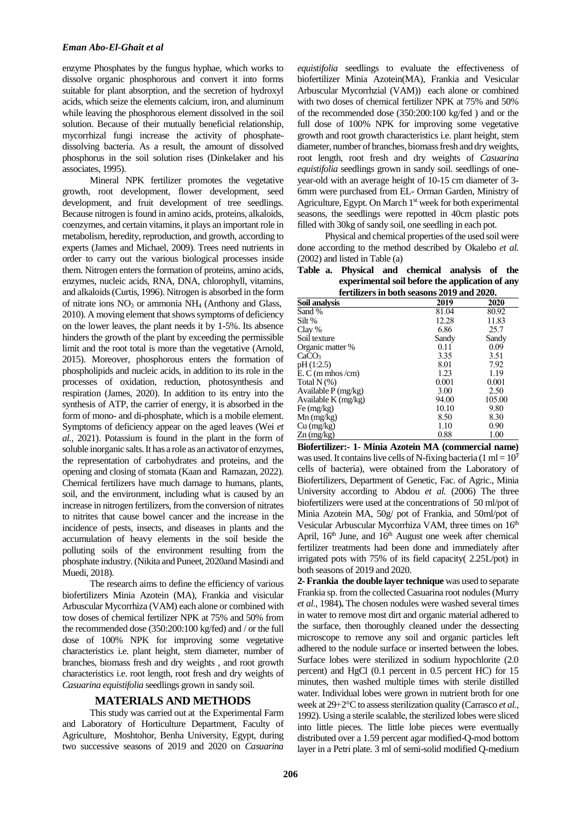enzyme Phosphates by the fungus hyphae, which works to dissolve organic phosphorous and convert it into forms suitable for plant absorption, and the secretion of hydroxyl acids, which seize the elements calcium, iron, and aluminum while leaving the phosphorous element dissolved in the soil solution. Because of their mutually beneficial relationship, mycorrhizal fungi increase the activity of phosphatedissolving bacteria. As a result, the amount of dissolved phosphorus in the soil solution rises (Dinkelaker and his associates, 1995).

Mineral NPK fertilizer promotes the vegetative growth, root development, flower development, seed development, and fruit development of tree seedlings. Because nitrogen is found in amino acids, proteins, alkaloids, coenzymes, and certain vitamins, it plays an important role in metabolism, heredity, reproduction, and growth, according to experts (James and Michael, 2009). Trees need nutrients in order to carry out the various biological processes inside them. Nitrogen enters the formation of proteins, amino acids, enzymes, nucleic acids, RNA, DNA, chlorophyll, vitamins, and alkaloids (Curtis, 1996). Nitrogen is absorbed in the form of nitrate ions  $NO<sub>3</sub>$  or ammonia  $NH<sub>4</sub>$  [\(Anthony and Glass,](https://www.tandfonline.com/author/Glass%2C+Anthony+D+M) 2010). A moving element that shows symptoms of deficiency on the lower leaves, the plant needs it by 1-5%. Its absence hinders the growth of the plant by exceeding the permissible limit and the root total is more than the vegetative (Arnold, 2015). Moreover, phosphorous enters the formation of phospholipids and nucleic acids, in addition to its role in the processes of oxidation, reduction, photosynthesis and respiration (James, 2020). In addition to its entry into the synthesis of ATP, the carrier of energy, it is absorbed in the form of mono- and di-phosphate, which is a mobile element. Symptoms of deficiency appear on the aged leaves [\(Wei](https://www.sciencedirect.com/science/article/pii/S2211285521000306#!) *et al.,* 2021). Potassium is found in the plant in the form of soluble inorganic salts. It has a role as an activator of enzymes, the representation of carbohydrates and proteins, and the opening and closing of stomata [\(Kaan and](https://dergipark.org.tr/en/pub/@Kaan%20I%C5%9EINKARALAR) [Ramazan, 2](https://dergipark.org.tr/en/pub/@rerdem)022). Chemical fertilizers have much damage to humans, plants, soil, and the environment, including what is caused by an increase in nitrogen fertilizers, from the conversion of nitrates to nitrites that cause bowel cancer and the increase in the incidence of pests, insects, and diseases in plants and the accumulation of heavy elements in the soil beside the polluting soils of the environment resulting from the phosphate industry.(Nikita and Puneet, 2020and Masindi and Muedi, 2018).

The research aims to define the efficiency of various biofertilizers Minia Azotein (MA), Frankia and visicular Arbuscular Mycorrhiza (VAM) each alone or combined with tow doses of chemical fertilizer NPK at 75% and 50% from the recommended dose (350:200:100 kg/fed) and / or the full dose of 100% NPK for improving some vegetative characteristics i.e. plant height, stem diameter, number of branches, biomass fresh and dry weights , and root growth characteristics i.e. root length, root fresh and dry weights of *Casuarina equistifolia* seedlings grown in sandy soil.

## **MATERIALS AND METHODS**

This study was carried out at the Experimental Farm and Laboratory of Horticulture Department, Faculty of Agriculture, Moshtohor, Benha University, Egypt, during two successive seasons of 2019 and 2020 on *Casuarina* 

*equistifolia* seedlings to evaluate the effectiveness of biofertilizer Minia Azotein(MA), Frankia and Vesicular Arbuscular Mycorrhzial (VAM)) each alone or combined with two doses of chemical fertilizer NPK at 75% and 50% of the recommended dose (350:200:100 kg/fed ) and or the full dose of 100% NPK for improving some vegetative growth and root growth characteristics i.e. plant height, stem diameter, number of branches, biomass fresh and dry weights, root length, root fresh and dry weights of *Casuarina equistifolia* seedlings grown in sandy soil. seedlings of oneyear-old with an average height of 10-15 cm diameter of 3- 6mm were purchased from EL- Orman Garden, Ministry of Agriculture, Egypt. On March 1<sup>st</sup> week for both experimental seasons, the seedlings were repotted in 40cm plastic pots filled with 30kg of sandy soil, one seedling in each pot.

Physical and chemical properties of the used soil were done according to the method described by Okalebo *et al.* (2002) and listed in Table (a)

**Table a. Physical and chemical analysis of the experimental soil before the application of any** 

| fertilizers in both seasons 2019 and 2020. |       |        |  |  |
|--------------------------------------------|-------|--------|--|--|
| Soil analysis                              | 2019  | 2020   |  |  |
| Sand %                                     | 81.04 | 80.92  |  |  |
| Silt %                                     | 12.28 | 11.83  |  |  |
| Clay %                                     | 6.86  | 25.7   |  |  |
| Soil texture                               | Sandy | Sandy  |  |  |
| Organic matter %                           | 0.11  | 0.09   |  |  |
| CaCO <sub>3</sub>                          | 3.35  | 3.51   |  |  |
| pH(1:2.5)                                  | 8.01  | 7.92   |  |  |
| $E. C$ (m mhos /cm)                        | 1.23  | 1.19   |  |  |
| Total $N(\%)$                              | 0.001 | 0.001  |  |  |
| Available P (mg/kg)                        | 3.00  | 2.50   |  |  |
| Available $K$ (mg/kg)                      | 94.00 | 105.00 |  |  |
| Fe $(mg/kg)$                               | 10.10 | 9.80   |  |  |
| $Mn$ (mg/kg)                               | 8.50  | 8.30   |  |  |
| $Cu$ (mg/kg)                               | 1.10  | 0.90   |  |  |
| $Zn$ (mg/kg)                               | 0.88  | 1.00   |  |  |

**Biofertilizer:- 1- Minia Azotein MA (commercial name)** was used. It contains live cells of N-fixing bacteria (1 ml =  $10<sup>7</sup>$ cells of bacteria), were obtained from the Laboratory of Biofertilizers, Department of Genetic, Fac. of Agric., Minia University according to Abdou *et al.* (2006) The three biofertilizers were used at the concentrations of 50 ml/pot of Minia Azotein MA, 50g/ pot of Frankia, and 50ml/pot of Vesicular Arbuscular Mycorrhiza VAM, three times on 16<sup>th</sup> April, 16<sup>th</sup> June, and 16<sup>th</sup> August one week after chemical fertilizer treatments had been done and immediately after irrigated pots with 75% of its field capacity( 2.25L/pot) in both seasons of 2019 and 2020.

**2-Frankia the double layer technique** was used to separate Frankia sp. from the collected Casuarina root nodules (Murry *et al.,* 1984)**.** The chosen nodules were washed several times in water to remove most dirt and organic material adhered to the surface, then thoroughly cleaned under the dessecting microscope to remove any soil and organic particles left adhered to the nodule surface or inserted between the lobes. Surface lobes were sterilized in sodium hypochlorite (2.0 percent) and HgCl (0.1 percent in 0.5 percent HC) for 15 minutes, then washed multiple times with sterile distilled water. Individual lobes were grown in nutrient broth for one week at 29+2°C to assess sterilization quality (Carrasco *et al.,* 1992). Using a sterile scalable, the sterilized lobes were sliced into little pieces. The little lobe pieces were eventually distributed over a 1.59 percent agar modified-Q-mod bottom layer in a Petri plate. 3 ml of semi-solid modified Q-medium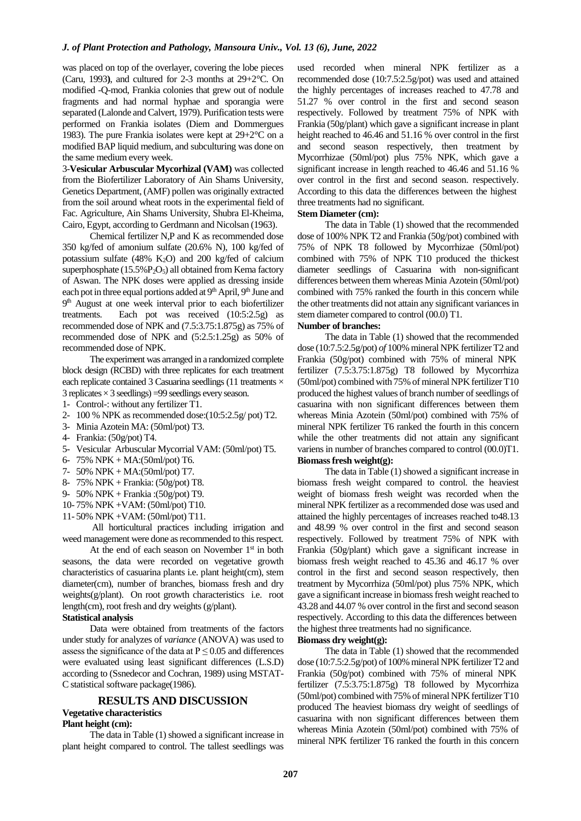was placed on top of the overlayer, covering the lobe pieces (Caru, 1993**)**, and cultured for 2-3 months at 29+2°C. On modified -Q-mod, Frankia colonies that grew out of nodule fragments and had normal hyphae and sporangia were separated (Lalonde and Calvert, 1979). Purification tests were performed on Frankia isolates (Diem and Dommergues 1983). The pure Frankia isolates were kept at 29+2°C on a modified BAP liquid medium, and subculturing was done on the same medium every week.

3-**Vesicular Arbuscular Mycorhizal (VAM)** was collected from the Biofertilizer Laboratory of Ain Shams University, Genetics Department, (AMF) pollen was originally extracted from the soil around wheat roots in the experimental field of Fac. Agriculture, Ain Shams University, Shubra El-Kheima, Cairo, Egypt, according to Gerdmann and Nicolsan (1963).

Chemical fertilizer N,P and K as recommended dose 350 kg/fed of amonium sulfate (20.6% N), 100 kg/fed of potassium sulfate  $(48\%$  K<sub>2</sub>O) and 200 kg/fed of calcium superphosphate (15.5%P<sub>2</sub>O<sub>5</sub>) all obtained from Kema factory of Aswan. The NPK doses were applied as dressing inside each pot in three equal portions added at 9<sup>th</sup> April, 9<sup>th</sup> June and 9<sup>th</sup> August at one week interval prior to each biofertilizer treatments. Each pot was received (10:5:2.5g) as recommended dose of NPK and (7.5:3.75:1.875g) as 75% of recommended dose of NPK and (5:2.5:1.25g) as 50% of recommended dose of NPK.

The experiment was arranged in a randomized complete block design (RCBD) with three replicates for each treatment each replicate contained 3 Casuarina seedlings (11 treatments  $\times$ 3 replicates  $\times$  3 seedlings) = 99 seedlings every season.

- 1- Control-: without any fertilizer T1.
- 2- 100 % NPK as recommended dose:(10:5:2.5g/ pot) T2.
- 3- Minia Azotein MA: (50ml/pot) T3.
- 4- Frankia: (50g/pot) T4.
- 5- Vesicular Arbuscular Mycorrial VAM: (50ml/pot) T5.
- 6- 75% NPK + MA:(50ml/pot) T6.
- 7- 50% NPK + MA:(50ml/pot) T7.
- 8- 75% NPK + Frankia: (50g/pot) T8.
- 9- 50% NPK + Frankia :(50g/pot) T9.
- 10- 75% NPK +VAM: (50ml/pot) T10.
- 11- 50% NPK +VAM: (50ml/pot) T11.

All horticultural practices including irrigation and weed management were done as recommended to this respect.

At the end of each season on November  $1<sup>st</sup>$  in both seasons, the data were recorded on vegetative growth characteristics of casuarina plants i.e. plant height(cm), stem diameter(cm), number of branches, biomass fresh and dry weights(g/plant). On root growth characteristics i.e. root length(cm), root fresh and dry weights (g/plant).

## **Statistical analysis**

Data were obtained from treatments of the factors under study for analyzes of *variance* (ANOVA) was used to assess the significance of the data at  $P \le 0.05$  and differences were evaluated using least significant differences (L.S.D) according to (Ssnedecor and Cochran, 1989) using MSTAT-C statistical software package(1986).

#### **RESULTS AND DISCUSSION**

#### **Vegetative characteristics**

#### **Plant height (cm):**

The data in Table (1) showed a significant increase in plant height compared to control. The tallest seedlings was

used recorded when mineral NPK fertilizer as a recommended dose (10:7.5:2.5g/pot) was used and attained the highly percentages of increases reached to 47.78 and 51.27 % over control in the first and second season respectively. Followed by treatment 75% of NPK with Frankia (50g/plant) which gave a significant increase in plant height reached to 46.46 and 51.16 % over control in the first and second season respectively, then treatment by Mycorrhizae (50ml/pot) plus 75% NPK, which gave a significant increase in length reached to 46.46 and 51.16 % over control in the first and second season. respectively. According to this data the differences between the highest three treatments had no significant.

## **Stem Diameter (cm):**

The data in Table (1) showed that the recommended dose of 100% NPK T2 and Frankia (50g/pot) combined with 75% of NPK T8 followed by Mycorrhizae (50ml/pot) combined with 75% of NPK T10 produced the thickest diameter seedlings of Casuarina with non-significant differences between them whereas Minia Azotein (50ml/pot) combined with 75% ranked the fourth in this concern while the other treatments did not attain any significant variances in stem diameter compared to control (00.0) T1.

## **Number of branches:**

The data in Table (1) showed that the recommended dose (10:7.5:2.5g/pot) *of* 100% mineral NPK fertilizer T2 and Frankia (50g/pot) combined with 75% of mineral NPK fertilizer (7.5:3.75:1.875g) T8 followed by Mycorrhiza (50ml/pot) combined with 75% of mineral NPK fertilizer T10 produced the highest values of branch number of seedlings of casuarina with non significant differences between them whereas Minia Azotein (50ml/pot) combined with 75% of mineral NPK fertilizer T6 ranked the fourth in this concern while the other treatments did not attain any significant variens in number of branches compared to control (00.0)T1. **Biomass fresh weight(g):**

The data in Table (1) showed a significant increase in biomass fresh weight compared to control. the heaviest weight of biomass fresh weight was recorded when the mineral NPK fertilizer as a recommended dose was used and attained the highly percentages of increases reached to48.13 and 48.99 % over control in the first and second season respectively. Followed by treatment 75% of NPK with Frankia (50g/plant) which gave a significant increase in biomass fresh weight reached to 45.36 and 46.17 % over control in the first and second season respectively, then treatment by Mycorrhiza (50ml/pot) plus 75% NPK, which gave a significant increase in biomass fresh weight reached to 43.28 and 44.07 % over control in the first and second season respectively. According to this data the differences between the highest three treatments had no significance.

#### **Biomass dry weight(g):**

The data in Table (1) showed that the recommended dose (10:7.5:2.5g/pot) of 100% mineral NPK fertilizer T2 and Frankia (50g/pot) combined with 75% of mineral NPK fertilizer (7.5:3.75:1.875g) T8 followed by Mycorrhiza (50ml/pot) combined with 75% of mineral NPK fertilizer T10 produced The heaviest biomass dry weight of seedlings of casuarina with non significant differences between them whereas Minia Azotein (50ml/pot) combined with 75% of mineral NPK fertilizer T6 ranked the fourth in this concern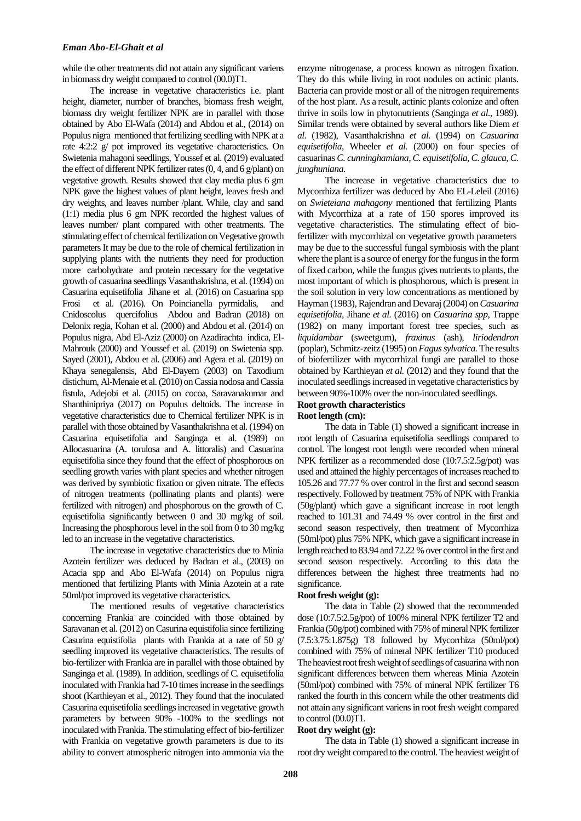while the other treatments did not attain any significant variens in biomass dry weight compared to control (00.0)T1.

The increase in vegetative characteristics i.e. plant height, diameter, number of branches, biomass fresh weight, biomass dry weight fertilizer NPK are in parallel with those obtained by Abo El-Wafa (2014) and Abdou et al., (2014) on Populus nigra mentioned that fertilizing seedling with NPK at a rate 4:2:2 g/ pot improved its vegetative characteristics. On Swietenia mahagoni seedlings, Youssef et al. (2019) evaluated the effect of different NPK fertilizer rates (0, 4, and 6 g/plant) on vegetative growth. Results showed that clay media plus 6 gm NPK gave the highest values of plant height, leaves fresh and dry weights, and leaves number /plant. While, clay and sand (1:1) media plus 6 gm NPK recorded the highest values of leaves number/ plant compared with other treatments. The stimulating effect of chemical fertilization on Vegetative growth parameters It may be due to the role of chemical fertilization in supplying plants with the nutrients they need for production more carbohydrate and protein necessary for the vegetative growth of casuarina seedlings Vasanthakrishna, et al. (1994) on Casuarina equisetifolia Jihane et al. (2016) on Casuarina spp Frosi et al. (2016). On Poincianella pyrmidalis, and Cnidoscolus quercifolius Abdou and Badran (2018) on Delonix regia, Kohan et al. (2000) and Abdou et al. (2014) on Populus nigra, Abd El-Aziz (2000) on Azadirachta indica, El-Mahrouk (2000) and Youssef et al. (2019) on Swietenia spp. Sayed (2001), Abdou et al. (2006) and Agera et al. (2019) on Khaya senegalensis, Abd El-Dayem (2003) on Taxodium distichum, Al-Menaie et al. (2010) on Cassia nodosa and Cassia fistula, Adejobi et al. (2015) on cocoa, Saravanakumar and Shanthinipriya (2017) on Populus deltoids. The increase in vegetative characteristics due to Chemical fertilizer NPK is in parallel with those obtained by Vasanthakrishna et al. (1994) on Casuarina equisetifolia and Sanginga et al. (1989) on Allocasuarina (A. torulosa and A. littoralis) and Casuarina equisetifolia since they found that the effect of phosphorous on seedling growth varies with plant species and whether nitrogen was derived by symbiotic fixation or given nitrate. The effects of nitrogen treatments (pollinating plants and plants) were fertilized with nitrogen) and phosphorous on the growth of C. equisetifolia significantly between 0 and 30 mg/kg of soil. Increasing the phosphorous level in the soil from 0 to 30 mg/kg led to an increase in the vegetative characteristics.

The increase in vegetative characteristics due to Minia Azotein fertilizer was deduced by Badran et al., (2003) on Acacia spp and Abo El-Wafa (2014) on Populus nigra mentioned that fertilizing Plants with Minia Azotein at a rate 50ml/pot improved its vegetative characteristics.

The mentioned results of vegetative characteristics concerning Frankia are coincided with those obtained by Saravanan et al. (2012) on Casurina equistifolia since fertilizing Casurina equistifolia plants with Frankia at a rate of 50 g/ seedling improved its vegetative characteristics. The results of bio-fertilizer with Frankia are in parallel with those obtained by Sanginga et al. (1989). In addition, seedlings of C. equisetifolia inoculated with Frankia had 7-10 times increase in the seedlings shoot (Karthieyan et al., 2012). They found that the inoculated Casuarina equisetifolia seedlings increased in vegetative growth parameters by between 90% -100% to the seedlings not inoculated with Frankia. The stimulating effect of bio-fertilizer with Frankia on vegetative growth parameters is due to its ability to convert atmospheric nitrogen into ammonia via the

enzyme nitrogenase, a process known as nitrogen fixation. They do this while living in root nodules on actinic plants. Bacteria can provide most or all of the nitrogen requirements of the host plant. As a result, actinic plants colonize and often thrive in soils low in phytonutrients (Sanginga *et al.*, 1989). Similar trends were obtained by several authors like Diem *et al.* (1982), Vasanthakrishna *et al.* (1994) on *Casuarina equisetifolia*, Wheeler *et al.* (2000) on four species of casuarinas *C. cunninghamiana, C. equisetifolia, C. glauca, C. junghuniana*.

The increase in vegetative characteristics due to Mycorrhiza fertilizer was deduced by Abo EL-Leleil (2016) on *Swieteiana mahagony* mentioned that fertilizing Plants with Mycorrhiza at a rate of 150 spores improved its vegetative characteristics. The stimulating effect of biofertilizer with mycorrhizal on vegetative growth parameters may be due to the successful fungal symbiosis with the plant where the plant is a source of energy for the fungus in the form of fixed carbon, while the fungus gives nutrients to plants, the most important of which is phosphorous, which is present in the soil solution in very low concentrations as mentioned by Hayman (1983), Rajendran and Devaraj (2004) on *Casuarina equisetifolia,* Jihane *et al.* (2016) on *Casuarina spp*, Trappe (1982) on many important forest tree species, such as *liquidambar* (sweetgum), *fraxinus* (ash), *liriodendron* (poplar), Schmitz-zeitz (1995) on *Fagus sylvatica.*The results of biofertilizer with mycorrhizal fungi are parallel to those obtained by Karthieyan *et al.* (2012) and they found that the inoculated seedlings increased in vegetative characteristics by between 90%-100% over the non-inoculated seedlings.

#### **Root growth characteristics Root length (cm):**

The data in Table (1) showed a significant increase in root length of Casuarina equisetifolia seedlings compared to control. The longest root length were recorded when mineral NPK fertilizer as a recommended dose (10:7.5:2.5g/pot) was used and attained the highly percentages of increases reached to 105.26 and 77.77 % over control in the first and second season respectively. Followed by treatment 75% of NPK with Frankia (50g/plant) which gave a significant increase in root length reached to 101.31 and 74.49 % over control in the first and second season respectively, then treatment of Mycorrhiza (50ml/pot) plus 75% NPK, which gave a significant increase in length reached to 83.94 and 72.22 % over control in the first and second season respectively. According to this data the differences between the highest three treatments had no significance.

#### **Root fresh weight (g):**

The data in Table (2) showed that the recommended dose (10:7.5:2.5g/pot) of 100% mineral NPK fertilizer T2 and Frankia (50g/pot) combined with 75% of mineral NPK fertilizer (7.5:3.75:1.875g) T8 followed by Mycorrhiza (50ml/pot) combined with 75% of mineral NPK fertilizer T10 produced The heaviest root fresh weight of seedlings of casuarina with non significant differences between them whereas Minia Azotein (50ml/pot) combined with 75% of mineral NPK fertilizer T6 ranked the fourth in this concern while the other treatments did not attain any significant variensin root fresh weight compared to control (00.0)T1.

## **Root dry weight (g):**

The data in Table (1) showed a significant increase in root dry weight compared to the control. The heaviest weight of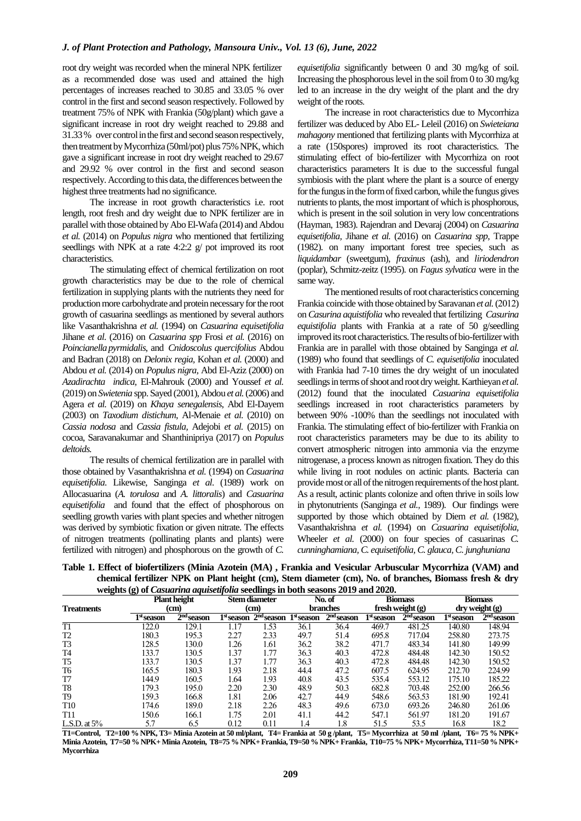root dry weight was recorded when the mineral NPK fertilizer as a recommended dose was used and attained the high percentages of increases reached to 30.85 and 33.05 % over control in the first and second season respectively. Followed by treatment 75% of NPK with Frankia (50g/plant) which gave a significant increase in root dry weight reached to 29.88 and 31.33 % over control in the first and second season respectively, then treatment by Mycorrhiza (50ml/pot) plus 75% NPK, which gave a significant increase in root dry weight reached to 29.67 and 29.92 % over control in the first and second season respectively. According to this data, the differences between the highest three treatments had no significance.

The increase in root growth characteristics i.e. root length, root fresh and dry weight due to NPK fertilizer are in parallel with those obtained by Abo El-Wafa (2014) and Abdou *et al.* (2014) on *Populus nigra* who mentioned that fertilizing seedlings with NPK at a rate 4:2:2 g/ pot improved its root characteristics.

The stimulating effect of chemical fertilization on root growth characteristics may be due to the role of chemical fertilization in supplying plants with the nutrients they need for production more carbohydrate and protein necessary for the root growth of casuarina seedlings as mentioned by several authors like Vasanthakrishna *et al.* (1994) on *Casuarina equisetifolia* Jihane *et al*. (2016) on *Casuarina spp* Frosi *et al.* (2016) on *Poincianella pyrmidalis*, and *Cnidoscolus quercifolius* Abdou and Badran (2018) on *Delonix regia,* Kohan *et al.* (2000) and Abdou *et al.* (2014) on *Populus nigra,* Abd El-Aziz (2000) on *Azadirachta indica,* El-Mahrouk (2000) and Youssef *et al.* (2019) on *Swietenia* spp. Sayed (2001), Abdou *et al.*(2006) and Agera *et al.* (2019) on *Khaya senegalensis*, Abd El-Dayem (2003) on *Taxodium distichum*, Al-Menaie *et al.* (2010) on *Cassia nodosa* and *Cassia fistula,* Adejobi *et al.* (2015) on cocoa, Saravanakumar and Shanthinipriya (2017) on *Populus deltoids.*

The results of chemical fertilization are in parallel with those obtained by Vasanthakrishna *et al.* (1994) on *Casuarina equisetifolia*. Likewise, Sanginga *et al*. (1989) work on Allocasuarina (*A. torulosa* and *A. littoralis*) and *Casuarina equisetifolia* and found that the effect of phosphorous on seedling growth varies with plant species and whether nitrogen was derived by symbiotic fixation or given nitrate. The effects of nitrogen treatments (pollinating plants and plants) were fertilized with nitrogen) and phosphorous on the growth of *C.* 

*equisetifolia* significantly between 0 and 30 mg/kg of soil. Increasing the phosphorous level in the soil from 0 to 30 mg/kg led to an increase in the dry weight of the plant and the dry weight of the roots.

The increase in root characteristics due to Mycorrhiza fertilizer was deduced by Abo EL- Leleil (2016) on *Swieteiana mahagony* mentioned that fertilizing plants with Mycorrhiza at a rate (150spores) improved its root characteristics. The stimulating effect of bio-fertilizer with Mycorrhiza on root characteristics parameters It is due to the successful fungal symbiosis with the plant where the plant is a source of energy for the fungus in the form of fixed carbon, while the fungus gives nutrients to plants, the most important of which is phosphorous, which is present in the soil solution in very low concentrations (Hayman, 1983). Rajendran and Devaraj (2004) on *Casuarina equisetifolia,* Jihane *et al.* (2016) on *Casuarina spp*, Trappe (1982). on many important forest tree species, such as *liquidambar* (sweetgum), *fraxinus* (ash), and *liriodendron* (poplar), Schmitz-zeitz (1995). on *Fagus sylvatica* were in the same way*.*

The mentioned results of root characteristics concerning Frankia coincide with those obtained by Saravanan *et al.*(2012) on *Casurina aquistifolia* who revealed that fertilizing *Casurina equistifolia* plants with Frankia at a rate of 50 g/seedling improved its root characteristics. The results of bio-fertilizer with Frankia are in parallel with those obtained by Sanginga *et al.* (1989) who found that seedlings of *C. equisetifolia* inoculated with Frankia had 7-10 times the dry weight of un inoculated seedlings in terms of shoot and root dry weight. Karthieyan *et al.* (2012) found that the inoculated *Casuarina equisetifolia* seedlings increased in root characteristics parameters by between 90% -100% than the seedlings not inoculated with Frankia. The stimulating effect of bio-fertilizer with Frankia on root characteristics parameters may be due to its ability to convert atmospheric nitrogen into ammonia via the enzyme nitrogenase, a process known as nitrogen fixation. They do this while living in root nodules on actinic plants. Bacteria can provide most or all of the nitrogen requirements of the host plant. As a result, actinic plants colonize and often thrive in soils low in phytonutrients (Sanginga *et al.,* 1989). Our findings were supported by those which obtained by Diem *et al.* (1982), Vasanthakrishna *et al.* (1994) on *Casuarina equisetifolia*, Wheeler *et al.* (2000) on four species of casuarinas *C. cunninghamiana, C. equisetifolia, C. glauca, C. junghuniana*

**Table 1. Effect of biofertilizers (Minia Azotein (MA) , Frankia and Vesicular Arbuscular Mycorrhiza (VAM) and chemical fertilizer NPK on Plant height (cm), Stem diameter (cm), No. of branches, Biomass fresh & dry weights (g) of** *Casuarina aquisetifolia* **seedlings in both seasons 2019 and 2020.**

|                   | weights (g) of <i>Casuarina aquisetifoua</i> seedinigs in boul seasons 2019 and 2020. | <b>Plant height</b>             |                        | Stem diameter |                        | No. of       |                        | <b>Biomass</b> |                        | <b>Biomass</b> |
|-------------------|---------------------------------------------------------------------------------------|---------------------------------|------------------------|---------------|------------------------|--------------|------------------------|----------------|------------------------|----------------|
| <b>Treatments</b> |                                                                                       | <b>branches</b><br>(cm)<br>(cm) |                        |               | fresh weight (g)       |              | dry weight (g)         |                |                        |                |
|                   | 1 <sup>st</sup> season                                                                | $2nd$ season                    | 1 <sup>st</sup> season | $2nd$ season  | 1 <sup>st</sup> season | $2nd$ season | 1 <sup>st</sup> season | $2nd$ season   | 1 <sup>st</sup> season | $2nd$ season   |
| T1                | 122.0                                                                                 | 129.1                           | 1.17                   | 1.53          | 36.1                   | 36.4         | 469.7                  | 481.25         | 140.80                 | 148.94         |
| T2                | 180.3                                                                                 | 195.3                           | 2.27                   | 2.33          | 49.7                   | 51.4         | 695.8                  | 717.04         | 258.80                 | 273.75         |
| T3                | 128.5                                                                                 | 130.0                           | 1.26                   | 1.61          | 36.2                   | 38.2         | 471.7                  | 483.34         | 141.80                 | 149.99         |
| T <sub>4</sub>    | 133.7                                                                                 | 130.5                           | 1.37                   | 1.77          | 36.3                   | 40.3         | 472.8                  | 484.48         | 142.30                 | 150.52         |
| T <sub>5</sub>    | 133.7                                                                                 | 130.5                           | 1.37                   | 1.77          | 36.3                   | 40.3         | 472.8                  | 484.48         | 142.30                 | 150.52         |
| T6                | 165.5                                                                                 | 180.3                           | 1.93                   | 2.18          | 44.4                   | 47.2         | 607.5                  | 624.95         | 212.70                 | 224.99         |
| T7                | 144.9                                                                                 | 160.5                           | 1.64                   | 1.93          | 40.8                   | 43.5         | 535.4                  | 553.12         | 175.10                 | 185.22         |
| T8                | 179.3                                                                                 | 195.0                           | 2.20                   | 2.30          | 48.9                   | 50.3         | 682.8                  | 703.48         | 252.00                 | 266.56         |
| T9                | 159.3                                                                                 | 166.8                           | 1.81                   | 2.06          | 42.7                   | 44.9         | 548.6                  | 563.53         | 181.90                 | 192.41         |
| <b>T10</b>        | 174.6                                                                                 | 189.0                           | 2.18                   | 2.26          | 48.3                   | 49.6         | 673.0                  | 693.26         | 246.80                 | 261.06         |
| T11               | 150.6                                                                                 | 166.1                           | 1.75                   | 2.01          | 41.1                   | 44.2         | 547.1                  | 561.97         | 181.20                 | 191.67         |
| L.S.D. at $5\%$   | 5.7                                                                                   | 6.5                             | 0.12                   | 0.11          | 1.4                    | 1.8          | 51.5                   | 53.5           | 16.8                   | 18.2           |

**T1=Control, T2=100 % NPK, T3= Minia Azotein at 50 ml/plant, T4= Frankia at 50 g /plant, T5= Mycorrhiza at 50 ml /plant, T6= 75 % NPK+ Minia Azotein, T7=50 % NPK+ Minia Azotein, T8=75 % NPK+ Frankia, T9=50 % NPK+ Frankia, T10=75 % NPK+ Mycorrhiza, T11=50 % NPK+ Mycorrhiza**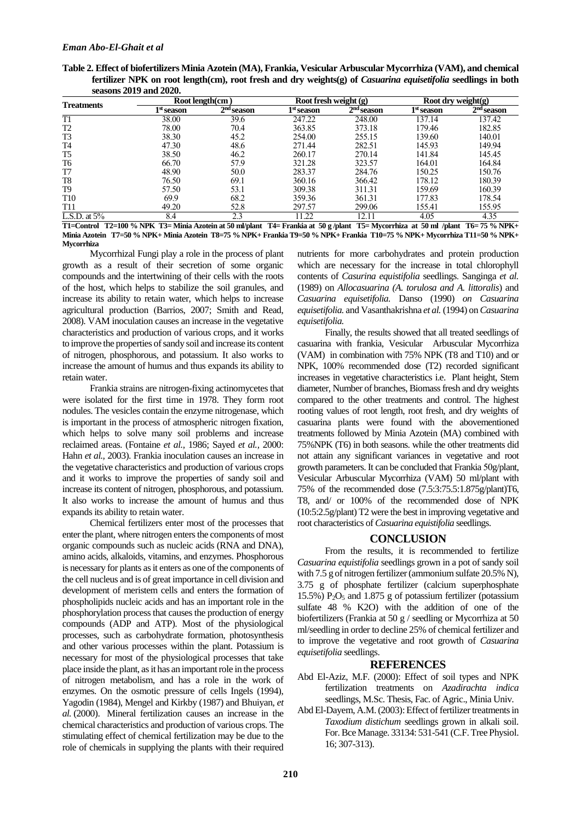| Table 2. Effect of biofertilizers Minia Azotein (MA), Frankia, Vesicular Arbuscular Mycorrhiza (VAM), and chemical |  |
|--------------------------------------------------------------------------------------------------------------------|--|
| fertilizer NPK on root length(cm), root fresh and dry weights(g) of Casuarina equisetifolia seedlings in both      |  |
| seasons 2019 and 2020.                                                                                             |  |

|                   | Root length(cm) |              | Root fresh weight (g) |              | Root dry weight(g) |              |
|-------------------|-----------------|--------------|-----------------------|--------------|--------------------|--------------|
| <b>Treatments</b> | $Ist$ season    | $2nd$ season | $1^{\rm st}$ season   | $2nd$ season | $1st$ season       | $2nd$ season |
| T1                | 38.00           | 39.6         | 247.22                | 248.00       | 137.14             | 137.42       |
| T <sub>2</sub>    | 78.00           | 70.4         | 363.85                | 373.18       | 179.46             | 182.85       |
| T <sub>3</sub>    | 38.30           | 45.2         | 254.00                | 255.15       | 139.60             | 140.01       |
| T4                | 47.30           | 48.6         | 271.44                | 282.51       | 145.93             | 149.94       |
| T <sub>5</sub>    | 38.50           | 46.2         | 260.17                | 270.14       | 141.84             | 145.45       |
| T6                | 66.70           | 57.9         | 321.28                | 323.57       | 164.01             | 164.84       |
| T7                | 48.90           | 50.0         | 283.37                | 284.76       | 150.25             | 150.76       |
| T <sub>8</sub>    | 76.50           | 69.1         | 360.16                | 366.42       | 178.12             | 180.39       |
| T <sub>9</sub>    | 57.50           | 53.1         | 309.38                | 311.31       | 159.69             | 160.39       |
| T10               | 69.9            | 68.2         | 359.36                | 361.31       | 177.83             | 178.54       |
| T11               | 49.20           | 52.8         | 297.57                | 299.06       | 155.41             | 155.95       |
| L.S.D. at $5\%$   | 8.4             | 2.3          | 1.22                  | 12.11        | 4.05               | 4.35         |

**T1=Control T2=100 % NPK T3= Minia Azotein at 50 ml/plant T4= Frankia at 50 g /plant T5= Mycorrhiza at 50 ml /plant T6= 75 % NPK+ Minia Azotein T7=50 % NPK+ Minia Azotein T8=75 % NPK+ Frankia T9=50 % NPK+ Frankia T10=75 % NPK+ Mycorrhiza T11=50 % NPK+ Mycorrhiza**

Mycorrhizal Fungi play a role in the process of plant growth as a result of their secretion of some organic compounds and the intertwining of their cells with the roots of the host, which helps to stabilize the soil granules, and increase its ability to retain water, which helps to increase agricultural production (Barrios, 2007; Smith and Read, 2008). VAM inoculation causes an increase in the vegetative characteristics and production of various crops, and it works to improve the properties of sandy soil and increase its content of nitrogen, phosphorous, and potassium. It also works to increase the amount of humus and thus expands its ability to retain water.

Frankia strains are nitrogen-fixing actinomycetes that were isolated for the first time in 1978. They form root nodules. The vesicles contain the enzyme nitrogenase, which is important in the process of atmospheric nitrogen fixation, which helps to solve many soil problems and increase reclaimed areas. (Fontaine *et al.,* 1986; Sayed *et al.,* 2000: Hahn *et al.,* 2003). Frankia inoculation causes an increase in the vegetative characteristics and production of various crops and it works to improve the properties of sandy soil and increase its content of nitrogen, phosphorous, and potassium. It also works to increase the amount of humus and thus expands its ability to retain water.

Chemical fertilizers enter most of the processes that enter the plant, where nitrogen enters the components of most organic compounds such as nucleic acids (RNA and DNA), amino acids, alkaloids, vitamins, and enzymes. Phosphorous is necessary for plants as it enters as one of the components of the cell nucleus and is of great importance in cell division and development of meristem cells and enters the formation of phospholipids nucleic acids and has an important role in the phosphorylation process that causes the production of energy compounds (ADP and ATP). Most of the physiological processes, such as carbohydrate formation, photosynthesis and other various processes within the plant. Potassium is necessary for most of the physiological processes that take place inside the plant, as it has an important role in the process of nitrogen metabolism, and has a role in the work of enzymes. On the osmotic pressure of cells Ingels (1994), Yagodin (1984), Mengel and Kirkby (1987) and Bhuiyan, *et al.* (2000). Mineral fertilization causes an increase in the chemical characteristics and production of various crops. The stimulating effect of chemical fertilization may be due to the role of chemicals in supplying the plants with their required

nutrients for more carbohydrates and protein production which are necessary for the increase in total chlorophyll contents of *Casurina equistifolia* seedlings. Sanginga *et al.* (1989) on *Allocasuarina (A. torulosa and A. littoralis*) and *Casuarina equisetifolia.* Danso (1990) *on Casuarina equisetifolia.* and Vasanthakrishna *et al.* (1994) on *Casuarina equisetifolia.*

Finally, the results showed that all treated seedlings of casuarina with frankia, Vesicular Arbuscular Mycorrhiza (VAM) in combination with 75% NPK (T8 and T10) and or NPK, 100% recommended dose (T2) recorded significant increases in vegetative characteristics i.e. Plant height, Stem diameter, Number of branches, Biomass fresh and dry weights compared to the other treatments and control. The highest rooting values of root length, root fresh, and dry weights of casuarina plants were found with the abovementioned treatments followed by Minia Azotein (MA) combined with 75%NPK (T6) in both seasons. while the other treatments did not attain any significant variances in vegetative and root growth parameters. It can be concluded that Frankia 50g/plant, Vesicular Arbuscular Mycorrhiza (VAM) 50 ml/plant with 75% of the recommended dose (7.5:3:75.5:1.875g/plant)T6, T8, and/ or 100% of the recommended dose of NPK (10:5:2.5g/plant) T2 were the best in improving vegetative and root characteristics of *Casuarina equistifolia* seedlings.

## **CONCLUSION**

From the results, it is recommended to fertilize *Casuarina equistifolia* seedlings grown in a pot of sandy soil with 7.5 g of nitrogen fertilizer (ammonium sulfate 20.5% N), 3.75 g of phosphate fertilizer (calcium superphosphate 15.5%)  $P_2O_5$  and 1.875 g of potassium fertilizer (potassium sulfate 48 % K2O) with the addition of one of the biofertilizers (Frankia at 50 g / seedling or Mycorrhiza at 50 ml/seedling in order to decline 25% of chemical fertilizer and to improve the vegetative and root growth of *Casuarina equisetifolia* seedlings.

## **REFERENCES**

- Abd El-Aziz, M.F. (2000): Effect of soil types and NPK fertilization treatments on *Azadirachta indica* seedlings, M.Sc. Thesis, Fac. of Agric., Minia Univ.
- Abd El-Dayem, A.M. (2003): Effect of fertilizer treatments in *Taxodium distichum* seedlings grown in alkali soil. For. Bce Manage. 33134: 531-541 (C.F. Tree Physiol. 16; 307-313).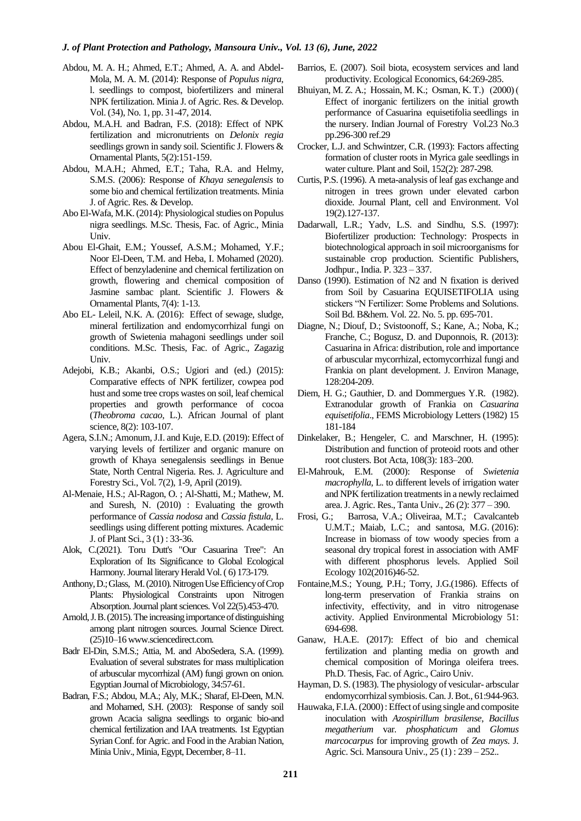## *J. of Plant Protection and Pathology, Mansoura Univ., Vol. 13 (6), June, 2022*

- Abdou, M. A. H.; Ahmed, E.T.; Ahmed, A. A. and Abdel-Mola, M. A. M. (2014): Response of *Populus nigra*, l. seedlings to compost, biofertilizers and mineral NPK fertilization. Minia J. of Agric. Res. & Develop. Vol. (34), No. 1, pp. 31-47, 2014.
- Abdou, M.A.H. and Badran, F.S. (2018): Effect of NPK fertilization and micronutrients on *Delonix regia*  seedlings grown in sandy soil. Scientific J. Flowers & Ornamental Plants, 5(2):151-159.
- Abdou, M.A.H.; Ahmed, E.T.; Taha, R.A. and Helmy, S.M.S. (2006): Response of *Khaya senegalensis* to some bio and chemical fertilization treatments. Minia J. of Agric. Res. & Develop.
- Abo El-Wafa, M.K. (2014): Physiological studies on Populus nigra seedlings. M.Sc. Thesis, Fac. of Agric., Minia Univ.
- Abou El-Ghait, E.M.; Youssef, A.S.M.; Mohamed, Y.F.; Noor El-Deen, T.M. and Heba, I. Mohamed (2020). Effect of benzyladenine and chemical fertilization on growth, flowering and chemical composition of Jasmine sambac plant. Scientific J. Flowers & Ornamental Plants, 7(4): 1-13.
- Abo EL- Leleil, N.K. A. (2016): Effect of sewage, sludge, mineral fertilization and endomycorrhizal fungi on growth of Swietenia mahagoni seedlings under soil conditions. M.Sc. Thesis, Fac. of Agric., Zagazig Univ.
- Adejobi, K.B.; Akanbi, O.S.; Ugiori and (ed.) (2015): Comparative effects of NPK fertilizer, cowpea pod hust and some tree crops wastes on soil, leaf chemical properties and growth performance of cocoa (*Theobroma cacao*, L.). African Journal of plant science, 8(2): 103-107.
- Agera, S.I.N.; Amonum, J.I. and Kuje, E.D. (2019): Effect of varying levels of fertilizer and organic manure on growth of Khaya senegalensis seedlings in Benue State, North Central Nigeria. Res. J. Agriculture and Forestry Sci., Vol. 7(2), 1-9, April (2019).
- Al-Menaie, H.S.; Al-Ragon, O. ; Al-Shatti, M.; Mathew, M. and Suresh, N. (2010) : Evaluating the growth performance of *Cassia nodosa* and *Cassia fistula*, L. seedlings using different potting mixtures. Academic J. of Plant Sci., 3 (1) : 33-36.
- Alok, C.(2021). Toru Dutt's "Our Casuarina Tree": An Exploration of Its Significance to Global Ecological Harmony. Journal literary Herald Vol. ( 6) 173-179.
- [Anthony, D.; Glass,](https://www.tandfonline.com/author/Glass%2C+Anthony+D+M) M. (2010). Nitrogen Use Efficiency of Crop Plants: Physiological Constraints upon Nitrogen Absorption. Journal plant sciences. Vol 22(5).453-470.
- Arnold, J. B. (2015). The increasing importance of distinguishing among plant nitrogen sources. Journal Science Direct. (25)10–1[6 www.sciencedirect.com.](http://www.sciencedirect.com/)
- Badr El-Din, S.M.S.; Attia, M. and AboSedera, S.A. (1999). Evaluation of several substrates for mass multiplication of arbuscular mycorrhizal (AM) fungi grown on onion. Egyptian Journal of Microbiology, 34:57-61.
- Badran, F.S.; Abdou, M.A.; Aly, M.K.; Sharaf, El-Deen, M.N. and Mohamed, S.H. (2003): Response of sandy soil grown Acacia saligna seedlings to organic bio-and chemical fertilization and IAA treatments. 1st Egyptian Syrian Conf. for Agric. and Food in the Arabian Nation, Minia Univ., Minia, Egypt, December, 8–11.
- Barrios, E. (2007). Soil biota, ecosystem services and land productivity. Ecological Economics, 64:269-285.
- [Bhuiyan, M. Z. A.;](https://www.cabdirect.org/cabdirect/search/?q=au%3a%22Bhuiyan%2c+M.+Z.+A.%22) [Hossain, M. K.;](https://www.cabdirect.org/cabdirect/search/?q=au%3a%22Hossain%2c+M.+K.%22) Osman, K. T.) (2000) ( Effect of inorganic fertilizers on the initial growth performance of Casuarina equisetifolia seedlings in the nursery. [Indian Journal of Forestry](https://www.cabdirect.org/cabdirect/search/?q=do%3a%22Indian+Journal+of+Forestry%22) Vol.23 No.3 pp.296-300 ref.29
- Crocker, L.J. and Schwintzer, C.R. (1993): Factors affecting formation of cluster roots in Myrica gale seedlings in water culture. Plant and Soil, 152(2): 287-298.
- Curtis, P.S. (1996). A meta-analysis of leaf gas exchange and nitrogen in trees grown under elevated carbon dioxide. Journal Plant, cell and Environment. Vol 19(2).127-137.
- Dadarwall, L.R.; Yadv, L.S. and Sindhu, S.S. (1997): Biofertilizer production: Technology: Prospects in biotechnological approach in soil microorganisms for sustainable crop production. Scientific Publishers, Jodhpur., India. P. 323 – 337.
- Danso (1990). Estimation of N2 and N fixation is derived from Soil by Casuarina EQUISETIFOLIA using stickers "N Fertilizer: Some Problems and Solutions. Soil Bd. B&hem. Vol. 22. No. 5. pp. 695-701.
- Diagne, N.; Diouf, D.; Svistoonoff, S.; Kane, A.; Noba, K.; Franche, C.; Bogusz, D. and Duponnois, R. (2013): Casuarina in Africa: distribution, role and importance of arbuscular mycorrhizal, ectomycorrhizal fungi and Frankia on plant development. J. Environ Manage, 128:204-209.
- Diem, H. G.; Gauthier, D. and Dommergues Y.R. (1982). Extranodular growth of Frankia on *Casuarina equisetifolia*., FEMS Microbiology Letters (1982) 15 181-184
- Dinkelaker, B.; Hengeler, C. and Marschner, H. (1995): Distribution and function of proteoid roots and other root clusters. Bot Acta, 108(3): 183–200.
- El-Mahrouk, E.M. (2000): Response of *Swietenia macrophylla*, L. to different levels of irrigation water and NPK fertilization treatments in a newly reclaimed area. J. Agric. Res., Tanta Univ., 26 (2): 377 – 390.
- Frosi, G.; Barrosa, V.A.; Oliveiraa, M.T.; Cavalcanteb U.M.T.; Maiab, L.C.; and santosa, M.G. (2016): Increase in biomass of tow woody species from a seasonal dry tropical forest in association with AMF with different phosphorus levels. Applied Soil Ecology 102(2016)46-52.
- Fontaine,M.S.; Young, P.H.; Torry, J.G.(1986). Effects of long-term preservation of Frankia strains on infectivity, effectivity, and in vitro nitrogenase activity. Applied Environmental Microbiology 51: 694-698.
- Ganaw, H.A.E. (2017): Effect of bio and chemical fertilization and planting media on growth and chemical composition of Moringa oleifera trees. Ph.D. Thesis, Fac. of Agric., Cairo Univ.
- Hayman, D. S. (1983). The physiology of vesicular- arbscular endomycorrhizal symbiosis. Can. J. Bot., 61:944-963.
- Hauwaka, F.I.A. (2000) : Effect of using single and composite inoculation with *Azospirillum brasilense*, *Bacillus megatherium* var*. phosphaticum* and *Glomus marcocarpus* for improving growth of *Zea mays*. J. Agric. Sci. Mansoura Univ., 25 (1) : 239 – 252..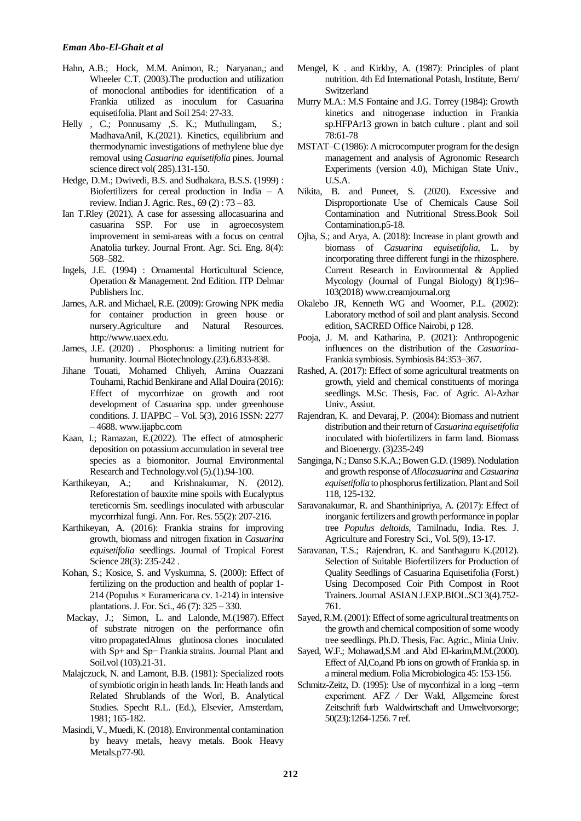- Hahn, A.B.; Hock, M.M. Animon, R.; Naryanan,; and Wheeler C.T. (2003).The production and utilization of monoclonal antibodies for identification of a Frankia utilized as inoculum for Casuarina equisetifolia. Plant and Soil 254: 27-33.
- [Helly](https://www.sciencedirect.com/science/article/abs/pii/S0045653521019524#!) , C.; Ponnusamy , S. K.; [Muthulingam, S.;](https://www.sciencedirect.com/science/article/abs/pii/S0045653521019524#!) [MadhavaAnil, K.\(2021\).](https://www.sciencedirect.com/science/article/abs/pii/S0045653521019524#!) Kinetics, equilibrium and thermodynamic investigations of methylene blue dye removal using *Casuarina equisetifolia* pines. Journal science direct vol( 285).131-150.
- Hedge, D.M.; Dwivedi, B.S. and Sudhakara, B.S.S. (1999) : Biofertilizers for cereal production in India – A review. Indian J. Agric. Res., 69 (2) : 73 – 83.
- Ian T.Rley (2021). A case for assessing allocasuarina and casuarina SSP. For use in agroecosystem improvement in semi-areas with a focus on central Anatolia turkey. Journal Front. Agr. Sci. Eng. 8(4): 568–582.
- Ingels, J.E. (1994) : Ornamental Horticultural Science, Operation & Management. 2nd Edition. ITP Delmar Publishers Inc.
- James, A.R. and Michael, R.E. (2009): Growing NPK media for container production in green house or nursery.Agriculture and Natural Resources. [http://www.uaex.edu.](http://www.uaex.edu/)
- [James, J.E. \(2020\) .](https://www.sciencedirect.com/science/article/pii/S0958166912000481#!) Phosphorus: a limiting nutrient for humanity. Journa[l Biotechnology.\(](https://www.sciencedirect.com/journal/current-opinion-in-biotechnology)23).6.833-838.
- Jihane Touati, Mohamed Chliyeh, Amina Ouazzani Touhami, Rachid Benkirane and Allal Douira (2016): Effect of mycorrhizae on growth and root development of Casuarina spp. under greenhouse conditions. J. IJAPBC – Vol. 5(3), 2016 ISSN: 2277 – 4688[. www.ijapbc.com](http://www.ijapbc.com/)
- Kaan, I.; Ramazan, E.(2022). The effect of atmospheric deposition on potassium accumulation in several tree species as a biomonitor. Journal Environmental Research and Technology.vol (5).(1).94-100.
- Karthikeyan, A.; and Krishnakumar, N. (2012). Reforestation of bauxite mine spoils with Eucalyptus tereticornis Sm. seedlings inoculated with arbuscular mycorrhizal fungi. Ann. For. Res. 55(2): 207-216.
- Karthikeyan, A. (2016): Frankia strains for improving growth, biomass and nitrogen fixation in *Casuarina equisetifolia* seedlings. Journal of Tropical Forest Science 28(3): 235-242.
- Kohan, S.; Kosice, S. and Vyskumna, S. (2000): Effect of fertilizing on the production and health of poplar 1- 214 (Populus  $\times$  Euramericana cv. 1-214) in intensive plantations. J. For. Sci., 46 (7): 325 – 330.
- Mackay, J.; Simon, [L.](https://link.springer.com/article/10.1007/BF02370663#auth-L_-Simon) and [Lalonde,](https://link.springer.com/article/10.1007/BF02370663#auth-M_-Lalonde) M.(1987). Effect of substrate nitrogen on the performance ofin vitro propagatedAlnus glutinosa clones inoculated with Sp+ and Sp− Frankia strains. Journal [Plant and](https://link.springer.com/journal/11104)  [Soil.](https://link.springer.com/journal/11104)vol (103).21-31.
- Malajczuck, N. and Lamont, B.B. (1981): Specialized roots of symbiotic origin in heath lands. In: Heath lands and Related Shrublands of the Worl, B. Analytical Studies. Specht R.L. (Ed.), Elsevier, Amsterdam, 1981; 165-182.
- Masindi, V., Muedi, K. (2018). Environmental contamination by heavy metals, heavy metals. [Book](https://www.intechopen.com/books) [Heavy](https://www.intechopen.com/books/6534)  [Metals.p](https://www.intechopen.com/books/6534)77-90.
- Mengel, K . and Kirkby, A. (1987): Principles of plant nutrition. 4th Ed International Potash, Institute, Bern/ **Switzerland**
- Murry M.A.: M.S Fontaine and J.G. Torrey (1984): Growth kinetics and nitrogenase induction in Frankia sp.HFPAr13 grown in batch culture . plant and soil 78:61-78
- MSTAT–C (1986): A microcomputer program for the design management and analysis of Agronomic Research Experiments (version 4.0), Michigan State Univ., U.S.A.
- Nikita, B. and Puneet, S. (2020). Excessive and Disproportionate Use of Chemicals Cause Soil Contamination and Nutritional Stress.Book [Soil](https://www.intechopen.com/books/9843)  [Contamination.p](https://www.intechopen.com/books/9843)5-18.
- Ojha, S.; and Arya, A. (2018): Increase in plant growth and biomass of *Casuarina equisetifolia*, L. by incorporating three different fungi in the rhizosphere. Current Research in Environmental & Applied Mycology (Journal of Fungal Biology) 8(1):96– 103(2018[\) www.creamjournal.org](http://www.creamjournal.org/)
- Okalebo JR, Kenneth WG and Woomer, P.L. (2002): Laboratory method of soil and plant analysis. Second edition, SACRED Office Nairobi, p 128.
- Pooja, J. M. and Katharina, P. (2021): Anthropogenic influences on the distribution of the *Casuarina*-Frankia symbiosis. Symbiosis 84:353–367.
- Rashed, A. (2017): Effect of some agricultural treatments on growth, yield and chemical constituents of moringa seedlings. M.Sc. Thesis, Fac. of Agric. Al-Azhar Univ., Assiut.
- Rajendran, K. and Devaraj, P. (2004): Biomass and nutrient distribution and their return of*Casuarina equisetifolia* inoculated with biofertilizers in farm land. Biomass and Bioenergy. (3)235-249
- Sanginga, N.; Danso S.K.A.; Bowen G.D. (1989). Nodulation and growth response of *Allocasuarina* and *Casuarina equisetifolia* to phosphorus fertilization. Plant and Soil 118, 125-132.
- Saravanakumar, R. and Shanthinipriya, A. (2017): Effect of inorganic fertilizers and growth performance in poplar tree *Populus deltoids*, Tamilnadu, India. Res. J. Agriculture and Forestry Sci., Vol. 5(9), 13-17.
- Saravanan, T.S.; Rajendran, K. and Santhaguru K.(2012). Selection of Suitable Biofertilizers for Production of Quality Seedlings of Casuarina Equisetifolia (Forst.) Using Decomposed Coir Pith Compost in Root Trainers. Journal ASIAN J.EXP.BIOL.SCI 3(4).752- 761.
- Sayed, R.M. (2001): Effect of some agricultural treatments on the growth and chemical composition of some woody tree seedlings. Ph.D. Thesis, Fac. Agric., Minia Univ.
- Sayed, W.F.; Mohawad,S.M .and Abd El-karim,M.M.(2000). Effect of Al,Co,and Pb ions on growth of Frankia sp. in a mineral medium. Folia Microbiologica 45: 153-156.
- Schmitz-Zeitz, D. (1995): Use of mycorrhizal in a long –term experiment. AFZ ⁄ Der Wald, Allgemeine forest Zeitschrift furb Waldwirtschaft and Umweltvorsorge; 50(23):1264-1256. 7 ref.